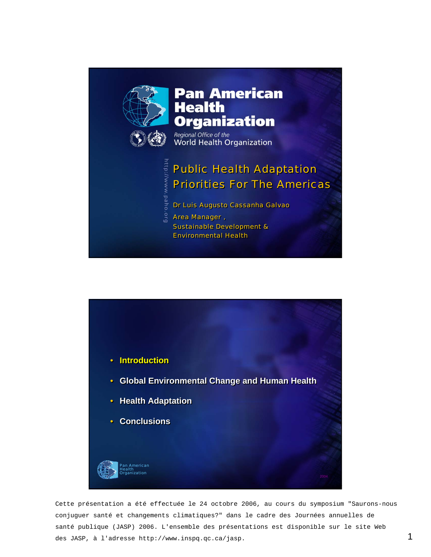

http://www.paho

.<br>GLG

# Pan American<br>Health **Organization**

Regional Office of the World Health Organization

# *Public Health Adaptation Public Health Adaptation Priorities For The Americas Priorities For The Americas*

*Dr Luis Augusto Cassanha Galvao Dr Luis Augusto Cassanha Galvao*

*Area Manager , Area Manager , Sustainable Development & Sustainable Development & Environmental Health Environmental Health*



Cette présentation a été effectuée le 24 octobre 2006, au cours du symposium "Saurons-nous conjuguer santé et changements climatiques?" dans le cadre des Journées annuelles de santé publique (JASP) 2006. L'ensemble des présentations est disponible sur le site Web des JASP, à l'adresse http://www.inspq.qc.ca/jasp.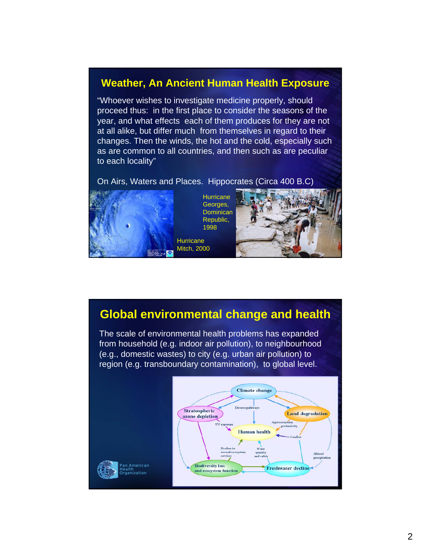# **Weather, An Ancient Human Health Exposure**

"Whoever wishes to investigate medicine properly, should proceed thus: in the first place to consider the seasons of the year, and what effects each of them produces for they are not at all alike, but differ much from themselves in regard to their changes. Then the winds, the hot and the cold, especially such as are common to all countries, and then such as are peculiar to each locality"

On Airs, Waters and Places. Hippocrates (Circa 400 B.C)



**Hurricane** Georges, **Dominican** Republic, 1998

**Hurricane** Mitch, 2000



## **Global environmental change and health**

The scale of environmental health problems has expanded from household (e.g. indoor air pollution), to neighbourhood (e.g., domestic wastes) to city (e.g. urban air pollution) to region (e.g. transboundary contamination), to global level.

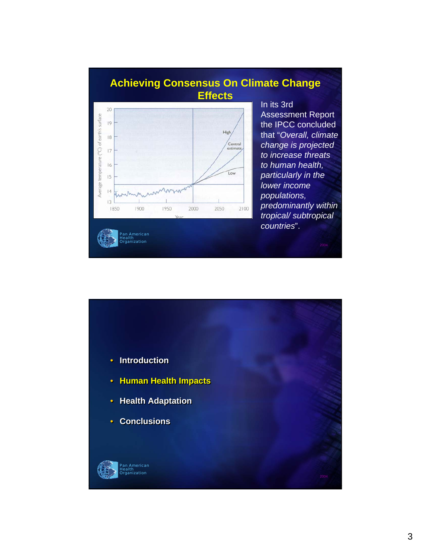# **Achieving Consensus On Climate Change Effects**



In its 3rd Assessment Report the IPCC concluded that "*Overall, climate change is projected to increase threats to human health, particularly in the lower income populations, predominantly within tropical/ subtropical countries*".

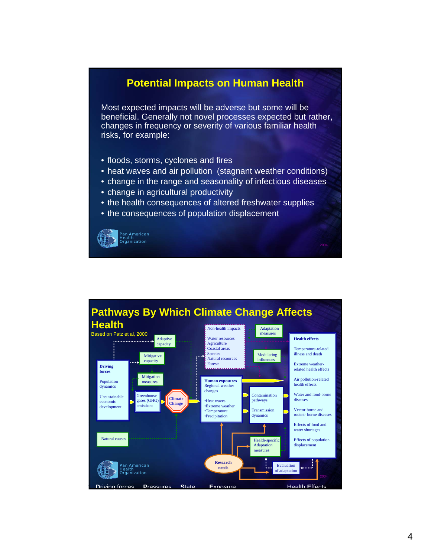#### **Potential Impacts on Human Health**

Most expected impacts will be adverse but some will be beneficial. Generally not novel processes expected but rather, changes in frequency or severity of various familiar health risks, for example:

- floods, storms, cyclones and fires
- heat waves and air pollution (stagnant weather conditions)
- change in the range and seasonality of infectious diseases
- change in agricultural productivity
- the health consequences of altered freshwater supplies
- the consequences of population displacement

Pan American Health Organization

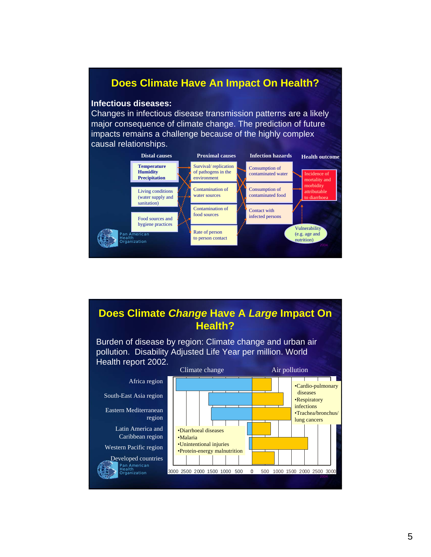#### **Does Climate Have An Impact On Health?**

#### **Infectious diseases:**

Changes in infectious disease transmission patterns are a likely major consequence of climate change. The prediction of future impacts remains a challenge because of the highly complex causal relationships.



#### **Does Climate** *Change* **Have A** *Large* **Impact On Health?**

Burden of disease by region: Climate change and urban air pollution. Disability Adjusted Life Year per million. World Health report 2002.

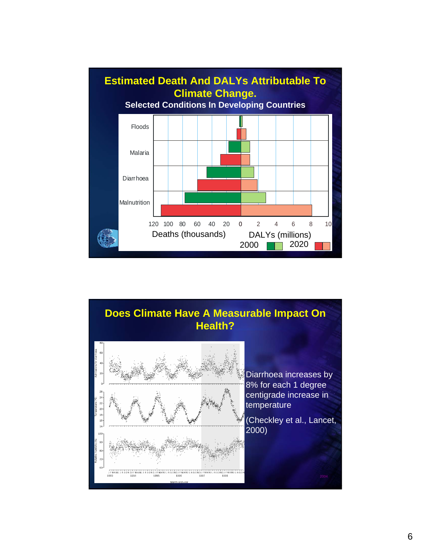

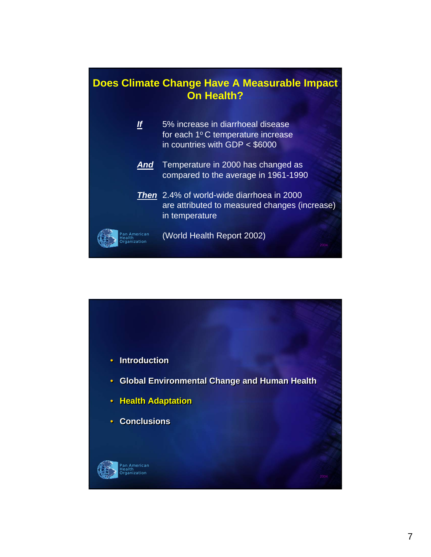

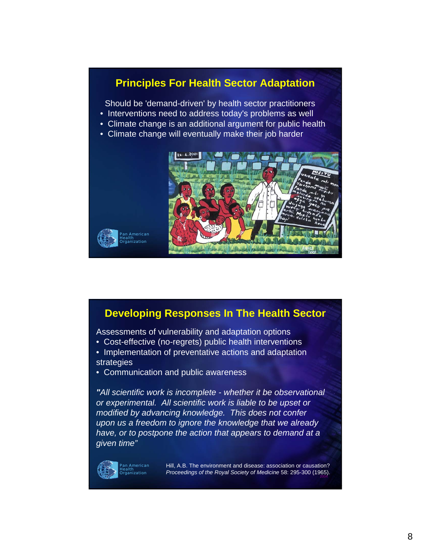#### **Principles For Health Sector Adaptation**

Should be 'demand-driven' by health sector practitioners

- Interventions need to address today's problems as well
- Climate change is an additional argument for public health
- Climate change will eventually make their job harder



#### **Developing Responses In The Health Sector**

Assessments of vulnerability and adaptation options

- Cost-effective (no-regrets) public health interventions
- Implementation of preventative actions and adaptation strategies
- Communication and public awareness

*"All scientific work is incomplete - whether it be observational or experimental. All scientific work is liable to be upset or modified by advancing knowledge. This does not confer upon us a freedom to ignore the knowledge that we already have, or to postpone the action that appears to demand at a given time"*



2004 *Proceedings of the Royal Society of Medicine* 58: 295-300 (1965).Hill, A.B. The environment and disease: association or causation?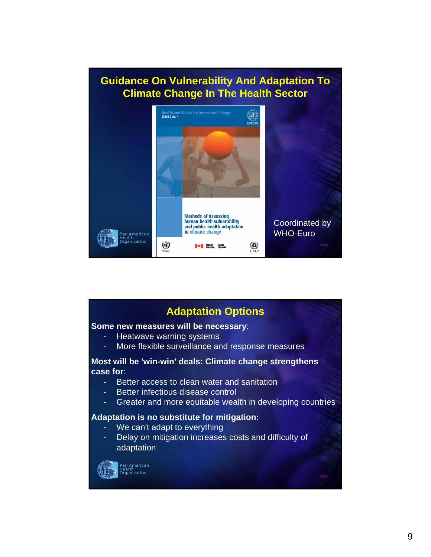# **Guidance On Vulnerability And Adaptation To Climate Change In The Health Sector**



#### **Adaptation Options**

#### **Some new measures will be necessary**:

- Heatwave warning systems
- More flexible surveillance and response measures

#### **Most will be 'win-win' deals: Climate change strengthens case for**:

- Better access to clean water and sanitation
- Better infectious disease control
- Greater and more equitable wealth in developing countries

#### **Adaptation is no substitute for mitigation:**

- We can't adapt to everything
- Delay on mitigation increases costs and difficulty of adaptation



Pan American Health n<br><sub>l</sub>ization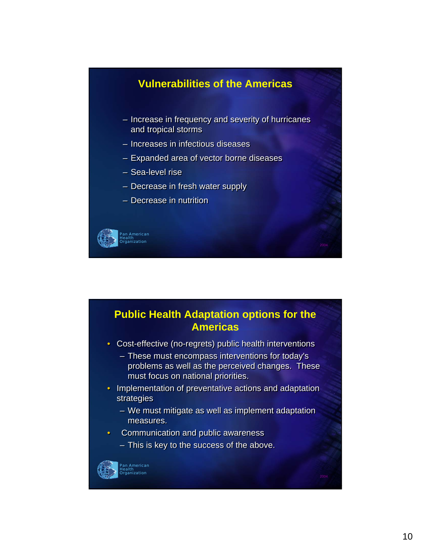# merican Health Organization **Vulnerabilities of the Americas** – Increase in frequency and severity of hurricanes – Increase in frequency and severity of hurricanes and tropical storms and tropical storms – Increases in infectious diseases – Increases in infectious diseases – Expanded area of vector borne diseases – Expanded area of vector borne diseases – Sea-level rise – Sea-level rise – Decrease in fresh water supply – Decrease in fresh water supply – Decrease in nutrition – Decrease in nutrition



• Cost-effective (no-regrets) public health interventions • Cost-effective (no-regrets) public health interventions

- These must encompass interventions for today's These must encompass interventions for today's problems as well as the perceived changes. These problems as well as the perceived changes. These must focus on national priorities. must focus on national priorities.
- Implementation of preventative actions and adaptation Implementation of preventative actions and adaptation strategies strategies
	- We must mitigate as well as implement adaptation We must mitigate as well as implement adaptation measures. measures.
- Communication and public awareness Communication and public awareness
	- This is key to the success of the above. This is key to the success of the above.



#### Pan American Health Organization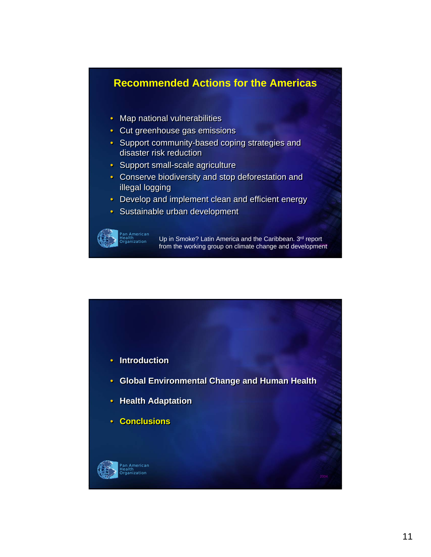#### **Recommended Actions for the Americas**

- Map national vulnerabilities Map national vulnerabilities
- Cut greenhouse gas emissions Cut greenhouse gas emissions
- Support community-based coping strategies and Support community-based coping strategies and disaster risk reduction disaster risk reduction
- Support small-scale agriculture Support small-scale agriculture
- Conserve biodiversity and stop deforestation and Conserve biodiversity and stop deforestation and illegal logging illegal logging
- Develop and implement clean and efficient energy Develop and implement clean and efficient energy
- Sustainable urban development Sustainable urban development



from the working group on climate change and development Up in Smoke? Latin America and the Caribbean. 3rd report

Pan American Health Organization • **Introduction** • **Introduction** • **Global Environmental Change and Human Health** • **Global Environmental Change and Human Health** • **Health Adaptation** • **Health Adaptation** • **Conclusions** • **Conclusions**